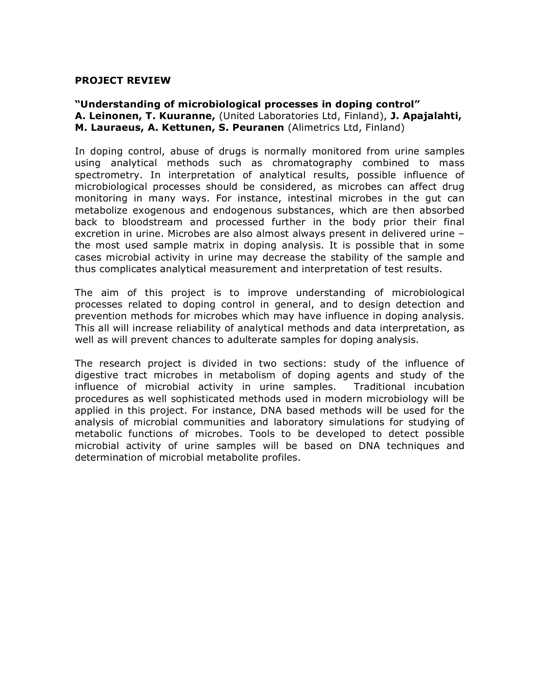## **PROJECT REVIEW**

## **"Understanding of microbiological processes in doping control" A. Leinonen, T. Kuuranne,** (United Laboratories Ltd, Finland), **J. Apajalahti, M. Lauraeus, A. Kettunen, S. Peuranen** (Alimetrics Ltd, Finland)

In doping control, abuse of drugs is normally monitored from urine samples using analytical methods such as chromatography combined to mass spectrometry. In interpretation of analytical results, possible influence of microbiological processes should be considered, as microbes can affect drug monitoring in many ways. For instance, intestinal microbes in the gut can metabolize exogenous and endogenous substances, which are then absorbed back to bloodstream and processed further in the body prior their final excretion in urine. Microbes are also almost always present in delivered urine – the most used sample matrix in doping analysis. It is possible that in some cases microbial activity in urine may decrease the stability of the sample and thus complicates analytical measurement and interpretation of test results.

The aim of this project is to improve understanding of microbiological processes related to doping control in general, and to design detection and prevention methods for microbes which may have influence in doping analysis. This all will increase reliability of analytical methods and data interpretation, as well as will prevent chances to adulterate samples for doping analysis.

The research project is divided in two sections: study of the influence of digestive tract microbes in metabolism of doping agents and study of the influence of microbial activity in urine samples. Traditional incubation procedures as well sophisticated methods used in modern microbiology will be applied in this project. For instance, DNA based methods will be used for the analysis of microbial communities and laboratory simulations for studying of metabolic functions of microbes. Tools to be developed to detect possible microbial activity of urine samples will be based on DNA techniques and determination of microbial metabolite profiles.